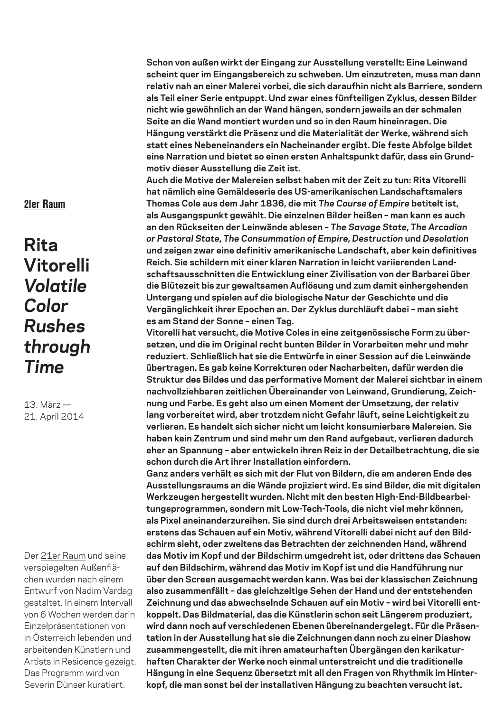**Schon von außen wirkt der Eingang zur Ausstellung verstellt: Eine Leinwand scheint quer im Eingangsbereich zu schweben. Um einzutreten, muss man dann relativ nah an einer Malerei vorbei, die sich daraufhin nicht als Barriere, sondern als Teil einer Serie entpuppt. Und zwar eines fünfteiligen Zyklus, dessen Bilder nicht wie gewöhnlich an der Wand hängen, sondern jeweils an der schmalen Seite an die Wand montiert wurden und so in den Raum hineinragen. Die Hängung verstärkt die Präsenz und die Materialität der Werke, während sich statt eines Nebeneinanders ein Nacheinander ergibt. Die feste Abfolge bildet eine Narration und bietet so einen ersten Anhaltspunkt dafür, dass ein Grundmotiv dieser Ausstellung die Zeit ist.** 

**Auch die Motive der Malereien selbst haben mit der Zeit zu tun: Rita Vitorelli hat nämlich eine Gemäldeserie des US-amerikanischen Landschaftsmalers Thomas Cole aus dem Jahr 1836, die mit** *The Course of Empire* **betitelt ist, als Ausgangspunkt gewählt. Die einzelnen Bilder heißen – man kann es auch an den Rückseiten der Leinwände ablesen –** *The Savage State***,** *The Arcadian or Pastoral State***,** *The Consummation of Empire***,** *Destruction* **und** *Desolation* **und zeigen zwar eine definitiv amerikanische Landschaft, aber kein definitives Reich. Sie schildern mit einer klaren Narration in leicht variierenden Landschaftsausschnitten die Entwicklung einer Zivilisation von der Barbarei über die Blütezeit bis zur gewaltsamen Auflösung und zum damit einhergehenden Untergang und spielen auf die biologische Natur der Geschichte und die Vergänglichkeit ihrer Epochen an. Der Zyklus durchläuft dabei – man sieht es am Stand der Sonne – einen Tag.** 

**Vitorelli hat versucht, die Motive Coles in eine zeitgenössische Form zu übersetzen, und die im Original recht bunten Bilder in Vorarbeiten mehr und mehr reduziert. Schließlich hat sie die Entwürfe in einer Session auf die Leinwände übertragen. Es gab keine Korrekturen oder Nacharbeiten, dafür werden die Struktur des Bildes und das performative Moment der Malerei sichtbar in einem nachvollziehbaren zeitlichen Übereinander von Leinwand, Grundierung, Zeichnung und Farbe. Es geht also um einen Moment der Umsetzung, der relativ lang vorbereitet wird, aber trotzdem nicht Gefahr läuft, seine Leichtigkeit zu verlieren. Es handelt sich sicher nicht um leicht konsumierbare Malereien. Sie haben kein Zentrum und sind mehr um den Rand aufgebaut, verlieren dadurch eher an Spannung – aber entwickeln ihren Reiz in der Detailbetrachtung, die sie schon durch die Art ihrer Installation einfordern.**

**Ganz anders verhält es sich mit der Flut von Bildern, die am anderen Ende des Ausstellungsraums an die Wände projiziert wird. Es sind Bilder, die mit digitalen Werkzeugen hergestellt wurden. Nicht mit den besten High-End-Bildbearbeitungsprogrammen, sondern mit Low-Tech-Tools, die nicht viel mehr können, als Pixel aneinanderzureihen. Sie sind durch drei Arbeitsweisen entstanden: erstens das Schauen auf ein Motiv, während Vitorelli dabei nicht auf den Bildschirm sieht, oder zweitens das Betrachten der zeichnenden Hand, während das Motiv im Kopf und der Bildschirm umgedreht ist, oder drittens das Schauen auf den Bildschirm, während das Motiv im Kopf ist und die Handführung nur über den Screen ausgemacht werden kann. Was bei der klassischen Zeichnung also zusammenfällt – das gleichzeitige Sehen der Hand und der entstehenden Zeichnung und das abwechselnde Schauen auf ein Motiv – wird bei Vitorelli entkoppelt. Das Bildmaterial, das die Künstlerin schon seit Längerem produziert, wird dann noch auf verschiedenen Ebenen übereinandergelegt. Für die Präsentation in der Ausstellung hat sie die Zeichnungen dann noch zu einer Diashow zusammengestellt, die mit ihren amateurhaften Übergängen den karikaturhaften Charakter der Werke noch einmal unterstreicht und die traditionelle Hängung in eine Sequenz übersetzt mit all den Fragen von Rhythmik im Hinterkopf, die man sonst bei der installativen Hängung zu beachten versucht ist.**

## 21er Raum

## **Rita Vitorelli** *Volatile Color Rushes through Time*

13. März — 21. April 2014

Der 21er Raum und seine verspiegelten Außenflächen wurden nach einem Entwurf von Nadim Vardag gestaltet. In einem Intervall von 6 Wochen werden darin Einzelpräsentationen von in Österreich lebenden und arbeitenden Künstlern und Artists in Residence gezeigt. Das Programm wird von Severin Dünser kuratiert.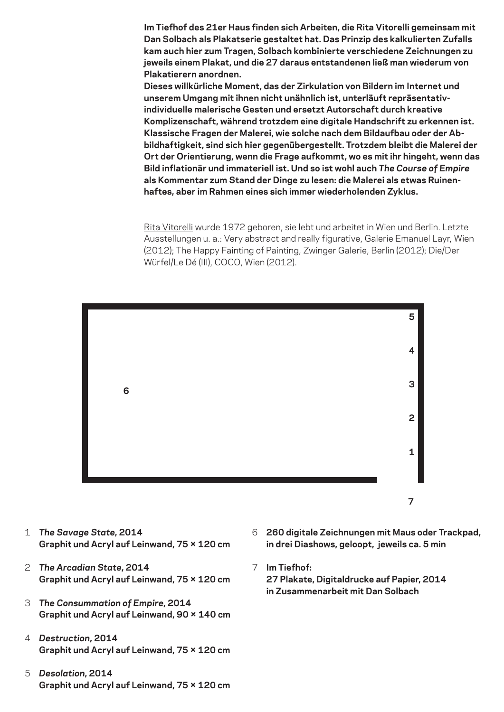**Im Tiefhof des 21er Haus finden sich Arbeiten, die Rita Vitorelli gemeinsam mit Dan Solbach als Plakatserie gestaltet hat. Das Prinzip des kalkulierten Zufalls kam auch hier zum Tragen, Solbach kombinierte verschiedene Zeichnungen zu jeweils einem Plakat, und die 27 daraus entstandenen ließ man wiederum von Plakatierern anordnen.**

**Dieses willkürliche Moment, das der Zirkulation von Bildern im Internet und unserem Umgang mit ihnen nicht unähnlich ist, unterläuft repräsentativindividuelle malerische Gesten und ersetzt Autorschaft durch kreative Komplizenschaft, während trotzdem eine digitale Handschrift zu erkennen ist. Klassische Fragen der Malerei, wie solche nach dem Bildaufbau oder der Abbildhaftigkeit, sind sich hier gegenübergestellt. Trotzdem bleibt die Malerei der Ort der Orientierung, wenn die Frage aufkommt, wo es mit ihr hingeht, wenn das Bild inflationär und immateriell ist. Und so ist wohl auch** *The Course of Empire* **als Kommentar zum Stand der Dinge zu lesen: die Malerei als etwas Ruinenhaftes, aber im Rahmen eines sich immer wiederholenden Zyklus.**

Rita Vitorelli wurde 1972 geboren, sie lebt und arbeitet in Wien und Berlin. Letzte Ausstellungen u. a.: Very abstract and really figurative, Galerie Emanuel Layr, Wien (2012); The Happy Fainting of Painting, Zwinger Galerie, Berlin (2012); Die/Der Würfel/Le Dé (III), COCO, Wien (2012).



- 1 *The Savage State***, 2014 Graphit und Acryl auf Leinwand, 75 × 120 cm**
- 2 *The Arcadian State***, 2014 Graphit und Acryl auf Leinwand, 75 × 120 cm**
- 3 *The Consummation of Empire***, 2014 Graphit und Acryl auf Leinwand, 90 × 140 cm**
- 4 *Destruction***, 2014 Graphit und Acryl auf Leinwand, 75 × 120 cm**
- 5 *Desolation***, 2014 Graphit und Acryl auf Leinwand, 75 × 120 cm**
- 6 **260 digitale Zeichnungen mit Maus oder Trackpad, in drei Diashows, geloopt, jeweils ca. 5 min**
- 7 **Im Tiefhof:**

**27 Plakate, Digitaldrucke auf Papier, 2014 in Zusammenarbeit mit Dan Solbach**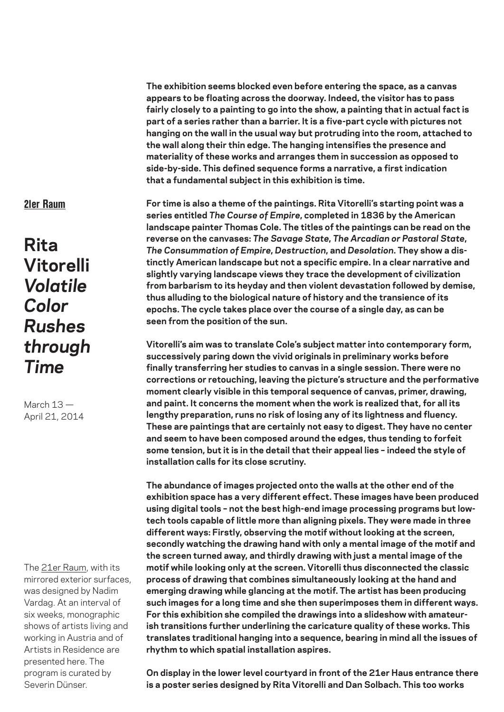**The exhibition seems blocked even before entering the space, as a canvas appears to be floating across the doorway. Indeed, the visitor has to pass fairly closely to a painting to go into the show, a painting that in actual fact is part of a series rather than a barrier. It is a five-part cycle with pictures not hanging on the wall in the usual way but protruding into the room, attached to the wall along their thin edge. The hanging intensifies the presence and materiality of these works and arranges them in succession as opposed to side-by-side. This defined sequence forms a narrative, a first indication that a fundamental subject in this exhibition is time.**

## 21er Raum

**Rita Vitorelli** *Volatile Color Rushes through Time*

March 13 — April 21, 2014

The 21er Raum, with its mirrored exterior surfaces, was designed by Nadim Vardag. At an interval of six weeks, monographic shows of artists living and working in Austria and of Artists in Residence are presented here. The program is curated by Severin Dünser.

**For time is also a theme of the paintings. Rita Vitorelli's starting point was a series entitled** *The Course of Empire***, completed in 1836 by the American landscape painter Thomas Cole. The titles of the paintings can be read on the reverse on the canvases:** *The Savage State***,** *The Arcadian or Pastoral State***,**  *The Consummation of Empire***,** *Destruction***, and** *Desolation***. They show a distinctly American landscape but not a specific empire. In a clear narrative and slightly varying landscape views they trace the development of civilization from barbarism to its heyday and then violent devastation followed by demise, thus alluding to the biological nature of history and the transience of its epochs. The cycle takes place over the course of a single day, as can be seen from the position of the sun.**

**Vitorelli's aim was to translate Cole's subject matter into contemporary form, successively paring down the vivid originals in preliminary works before finally transferring her studies to canvas in a single session. There were no corrections or retouching, leaving the picture's structure and the performative moment clearly visible in this temporal sequence of canvas, primer, drawing, and paint. It concerns the moment when the work is realized that, for all its lengthy preparation, runs no risk of losing any of its lightness and fluency. These are paintings that are certainly not easy to digest. They have no center and seem to have been composed around the edges, thus tending to forfeit some tension, but it is in the detail that their appeal lies – indeed the style of installation calls for its close scrutiny.** 

**The abundance of images projected onto the walls at the other end of the exhibition space has a very different effect. These images have been produced using digital tools – not the best high-end image processing programs but lowtech tools capable of little more than aligning pixels. They were made in three different ways: Firstly, observing the motif without looking at the screen, secondly watching the drawing hand with only a mental image of the motif and the screen turned away, and thirdly drawing with just a mental image of the motif while looking only at the screen. Vitorelli thus disconnected the classic process of drawing that combines simultaneously looking at the hand and emerging drawing while glancing at the motif. The artist has been producing such images for a long time and she then superimposes them in different ways. For this exhibition she compiled the drawings into a slideshow with amateurish transitions further underlining the caricature quality of these works. This translates traditional hanging into a sequence, bearing in mind all the issues of rhythm to which spatial installation aspires.**

**On display in the lower level courtyard in front of the 21er Haus entrance there is a poster series designed by Rita Vitorelli and Dan Solbach. This too works**